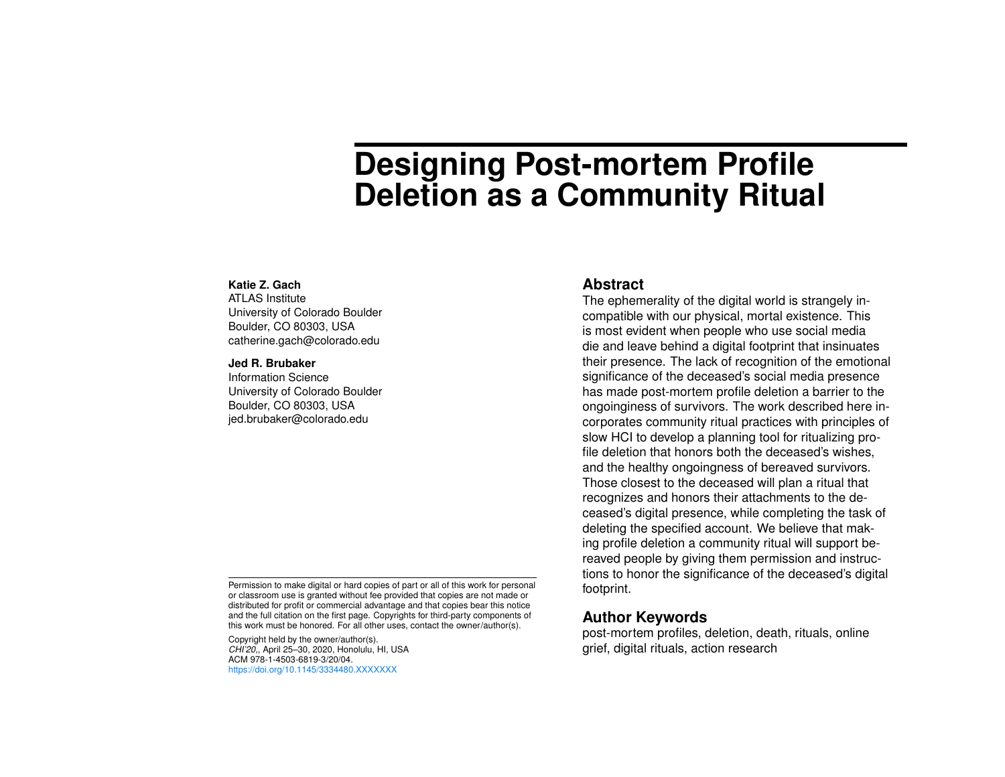# **Designing Post-mortem Profile Deletion as a Community Ritual**

#### **Katie Z. Gach**

ATLAS Institute University of Colorado Boulder Boulder, CO 80303, USA catherine.gach@colorado.edu

#### **Jed R. Brubaker**

Information Science University of Colorado Boulder Boulder, CO 80303, USA jed.brubaker@colorado.edu

Permission to make digital or hard copies of part or all of this work for personal or classroom use is granted without fee provided that copies are not made or distributed for profit or commercial advantage and that copies bear this notice and the full citation on the first page. Copyrights for third-party components of this work must be honored. For all other uses, contact the owner/author(s).

Copyright held by the owner/author(s). *CHI'20,*, April 25–30, 2020, Honolulu, HI, USA ACM 978-1-4503-6819-3/20/04. <https://doi.org/10.1145/3334480.XXXXXXX>

#### **Abstract**

The ephemerality of the digital world is strangely incompatible with our physical, mortal existence. This is most evident when people who use social media die and leave behind a digital footprint that insinuates their presence. The lack of recognition of the emotional significance of the deceased's social media presence has made post-mortem profile deletion a barrier to the ongoinginess of survivors. The work described here incorporates community ritual practices with principles of slow HCI to develop a planning tool for ritualizing profile deletion that honors both the deceased's wishes, and the healthy ongoingness of bereaved survivors. Those closest to the deceased will plan a ritual that recognizes and honors their attachments to the deceased's digital presence, while completing the task of deleting the specified account. We believe that making profile deletion a community ritual will support bereaved people by giving them permission and instructions to honor the significance of the deceased's digital footprint.

#### **Author Keywords**

post-mortem profiles, deletion, death, rituals, online grief, digital rituals, action research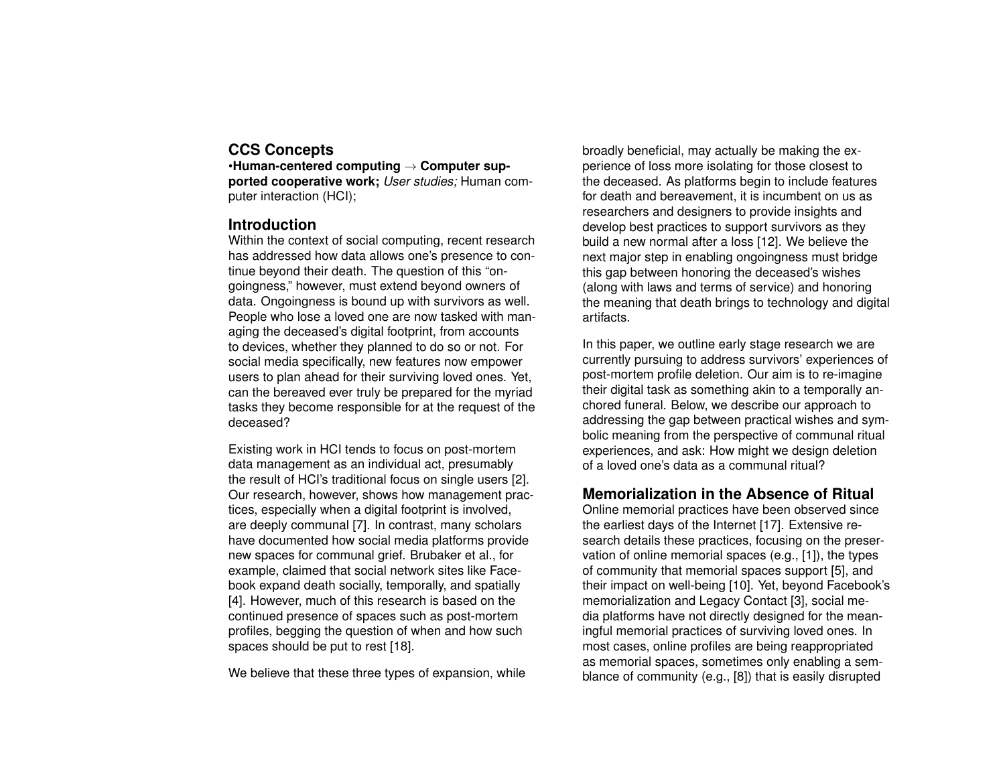# **CCS Concepts**

•**Human-centered computing** → **Computer supported cooperative work;** *User studies;* Human computer interaction (HCI);

## **Introduction**

Within the context of social computing, recent research has addressed how data allows one's presence to continue beyond their death. The question of this "ongoingness," however, must extend beyond owners of data. Ongoingness is bound up with survivors as well. People who lose a loved one are now tasked with managing the deceased's digital footprint, from accounts to devices, whether they planned to do so or not. For social media specifically, new features now empower users to plan ahead for their surviving loved ones. Yet, can the bereaved ever truly be prepared for the myriad tasks they become responsible for at the request of the deceased?

Existing work in HCI tends to focus on post-mortem data management as an individual act, presumably the result of HCI's traditional focus on single users [\[2\]](#page-4-0). Our research, however, shows how management practices, especially when a digital footprint is involved, are deeply communal [\[7\]](#page-4-1). In contrast, many scholars have documented how social media platforms provide new spaces for communal grief. Brubaker et al., for example, claimed that social network sites like Facebook expand death socially, temporally, and spatially [\[4\]](#page-4-2). However, much of this research is based on the continued presence of spaces such as post-mortem profiles, begging the question of when and how such spaces should be put to rest [\[18\]](#page-5-0).

We believe that these three types of expansion, while

broadly beneficial, may actually be making the experience of loss more isolating for those closest to the deceased. As platforms begin to include features for death and bereavement, it is incumbent on us as researchers and designers to provide insights and develop best practices to support survivors as they build a new normal after a loss [\[12\]](#page-5-1). We believe the next major step in enabling ongoingness must bridge this gap between honoring the deceased's wishes (along with laws and terms of service) and honoring the meaning that death brings to technology and digital artifacts.

In this paper, we outline early stage research we are currently pursuing to address survivors' experiences of post-mortem profile deletion. Our aim is to re-imagine their digital task as something akin to a temporally anchored funeral. Below, we describe our approach to addressing the gap between practical wishes and symbolic meaning from the perspective of communal ritual experiences, and ask: How might we design deletion of a loved one's data as a communal ritual?

# **Memorialization in the Absence of Ritual**

Online memorial practices have been observed since the earliest days of the Internet [\[17\]](#page-5-2). Extensive research details these practices, focusing on the preservation of online memorial spaces (e.g., [\[1\]](#page-4-3)), the types of community that memorial spaces support [\[5\]](#page-4-4), and their impact on well-being [\[10\]](#page-5-3). Yet, beyond Facebook's memorialization and Legacy Contact [\[3\]](#page-4-5), social media platforms have not directly designed for the meaningful memorial practices of surviving loved ones. In most cases, online profiles are being reappropriated as memorial spaces, sometimes only enabling a semblance of community (e.g., [\[8\]](#page-4-6)) that is easily disrupted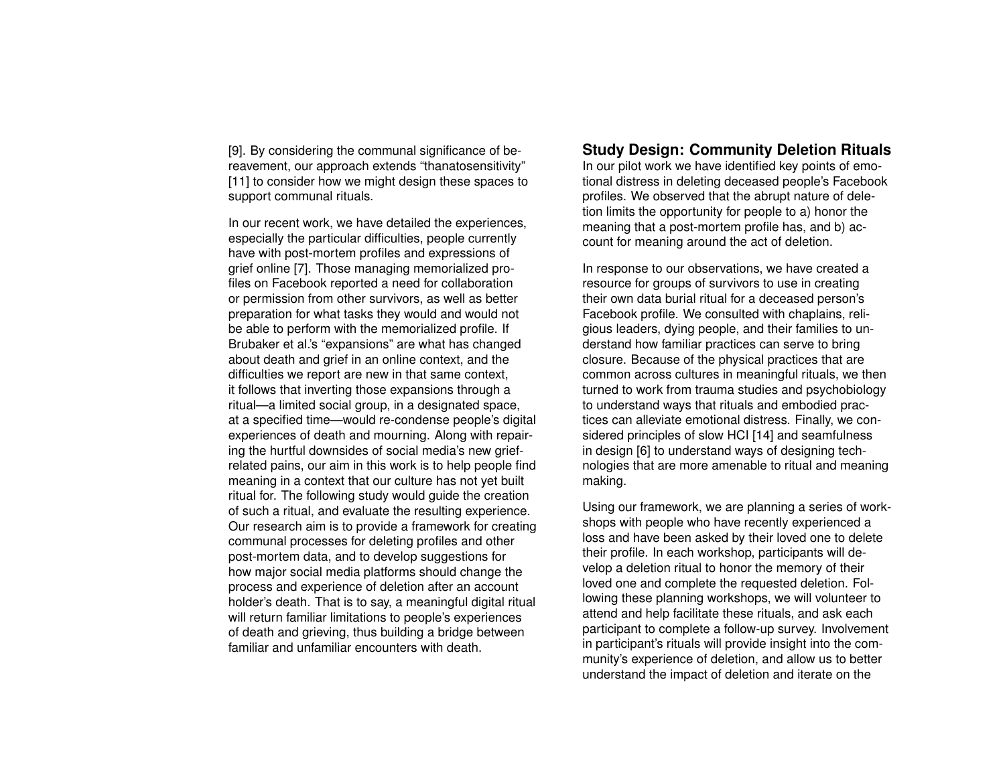[\[9\]](#page-5-4). By considering the communal significance of bereavement, our approach extends "thanatosensitivity" [\[11\]](#page-5-5) to consider how we might design these spaces to support communal rituals.

In our recent work, we have detailed the experiences, especially the particular difficulties, people currently have with post-mortem profiles and expressions of grief online [\[7\]](#page-4-1). Those managing memorialized profiles on Facebook reported a need for collaboration or permission from other survivors, as well as better preparation for what tasks they would and would not be able to perform with the memorialized profile. If Brubaker et al.'s "expansions" are what has changed about death and grief in an online context, and the difficulties we report are new in that same context, it follows that inverting those expansions through a ritual—a limited social group, in a designated space, at a specified time—would re-condense people's digital experiences of death and mourning. Along with repairing the hurtful downsides of social media's new griefrelated pains, our aim in this work is to help people find meaning in a context that our culture has not yet built ritual for. The following study would guide the creation of such a ritual, and evaluate the resulting experience. Our research aim is to provide a framework for creating communal processes for deleting profiles and other post-mortem data, and to develop suggestions for how major social media platforms should change the process and experience of deletion after an account holder's death. That is to say, a meaningful digital ritual will return familiar limitations to people's experiences of death and grieving, thus building a bridge between familiar and unfamiliar encounters with death

## **Study Design: Community Deletion Rituals**

In our pilot work we have identified key points of emotional distress in deleting deceased people's Facebook profiles. We observed that the abrupt nature of deletion limits the opportunity for people to a) honor the meaning that a post-mortem profile has, and b) account for meaning around the act of deletion.

In response to our observations, we have created a resource for groups of survivors to use in creating their own data burial ritual for a deceased person's Facebook profile. We consulted with chaplains, religious leaders, dying people, and their families to understand how familiar practices can serve to bring closure. Because of the physical practices that are common across cultures in meaningful rituals, we then turned to work from trauma studies and psychobiology to understand ways that rituals and embodied practices can alleviate emotional distress. Finally, we considered principles of slow HCI [\[14\]](#page-5-6) and seamfulness in design [\[6\]](#page-4-7) to understand ways of designing technologies that are more amenable to ritual and meaning making.

Using our framework, we are planning a series of workshops with people who have recently experienced a loss and have been asked by their loved one to delete their profile. In each workshop, participants will develop a deletion ritual to honor the memory of their loved one and complete the requested deletion. Following these planning workshops, we will volunteer to attend and help facilitate these rituals, and ask each participant to complete a follow-up survey. Involvement in participant's rituals will provide insight into the community's experience of deletion, and allow us to better understand the impact of deletion and iterate on the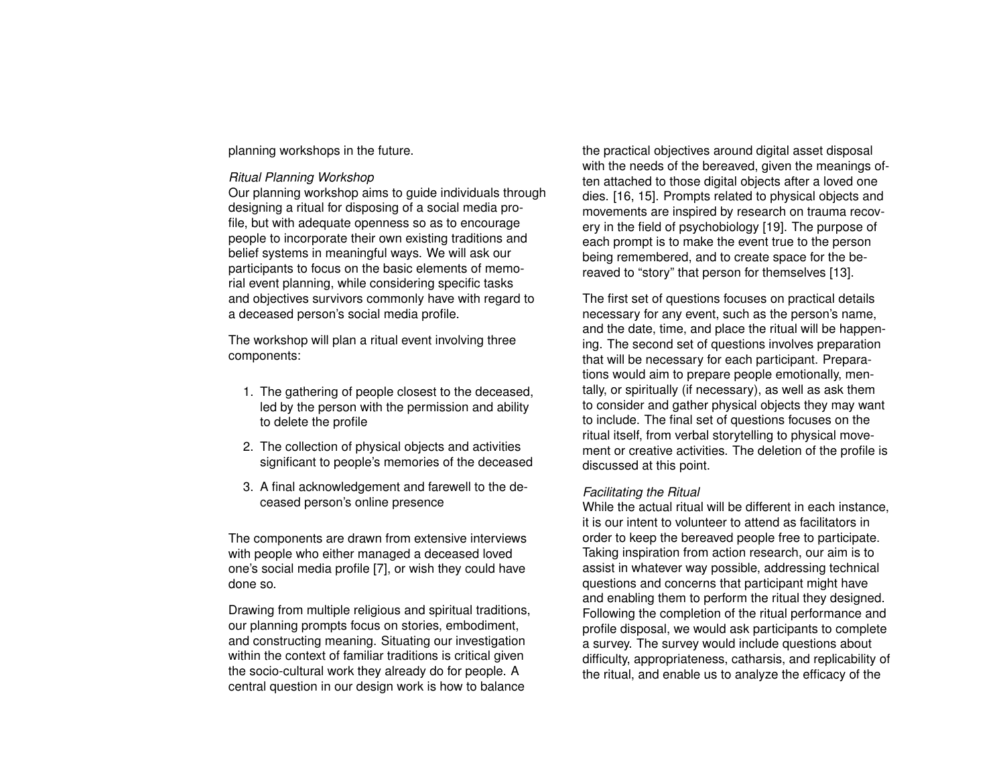planning workshops in the future.

#### *Ritual Planning Workshop*

Our planning workshop aims to guide individuals through designing a ritual for disposing of a social media profile, but with adequate openness so as to encourage people to incorporate their own existing traditions and belief systems in meaningful ways. We will ask our participants to focus on the basic elements of memorial event planning, while considering specific tasks and objectives survivors commonly have with regard to a deceased person's social media profile.

The workshop will plan a ritual event involving three components:

- 1. The gathering of people closest to the deceased, led by the person with the permission and ability to delete the profile
- 2. The collection of physical objects and activities significant to people's memories of the deceased
- 3. A final acknowledgement and farewell to the deceased person's online presence

The components are drawn from extensive interviews with people who either managed a deceased loved one's social media profile [\[7\]](#page-4-1), or wish they could have done so.

Drawing from multiple religious and spiritual traditions, our planning prompts focus on stories, embodiment, and constructing meaning. Situating our investigation within the context of familiar traditions is critical given the socio-cultural work they already do for people. A central question in our design work is how to balance

the practical objectives around digital asset disposal with the needs of the bereaved, given the meanings often attached to those digital objects after a loved one dies. [\[16,](#page-5-7) [15\]](#page-5-8). Prompts related to physical objects and movements are inspired by research on trauma recovery in the field of psychobiology [\[19\]](#page-5-9). The purpose of each prompt is to make the event true to the person being remembered, and to create space for the bereaved to "story" that person for themselves [\[13\]](#page-5-10).

The first set of questions focuses on practical details necessary for any event, such as the person's name, and the date, time, and place the ritual will be happening. The second set of questions involves preparation that will be necessary for each participant. Preparations would aim to prepare people emotionally, mentally, or spiritually (if necessary), as well as ask them to consider and gather physical objects they may want to include. The final set of questions focuses on the ritual itself, from verbal storytelling to physical movement or creative activities. The deletion of the profile is discussed at this point.

#### *Facilitating the Ritual*

While the actual ritual will be different in each instance, it is our intent to volunteer to attend as facilitators in order to keep the bereaved people free to participate. Taking inspiration from action research, our aim is to assist in whatever way possible, addressing technical questions and concerns that participant might have and enabling them to perform the ritual they designed. Following the completion of the ritual performance and profile disposal, we would ask participants to complete a survey. The survey would include questions about difficulty, appropriateness, catharsis, and replicability of the ritual, and enable us to analyze the efficacy of the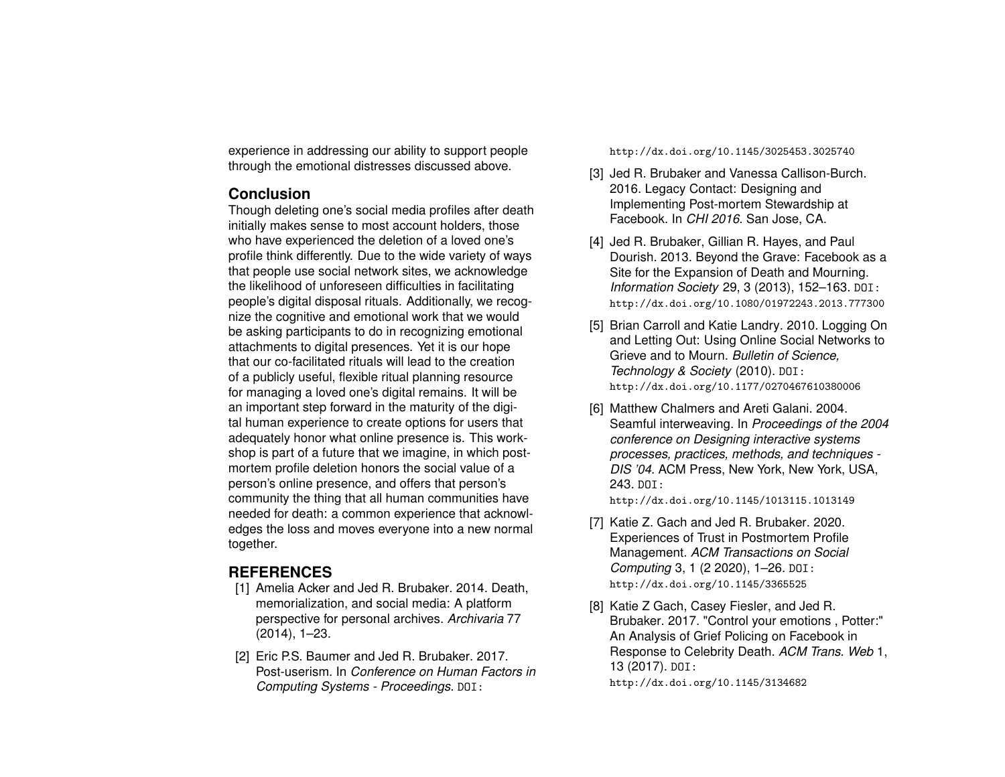experience in addressing our ability to support people through the emotional distresses discussed above.

## **Conclusion**

Though deleting one's social media profiles after death initially makes sense to most account holders, those who have experienced the deletion of a loved one's profile think differently. Due to the wide variety of ways that people use social network sites, we acknowledge the likelihood of unforeseen difficulties in facilitating people's digital disposal rituals. Additionally, we recognize the cognitive and emotional work that we would be asking participants to do in recognizing emotional attachments to digital presences. Yet it is our hope that our co-facilitated rituals will lead to the creation of a publicly useful, flexible ritual planning resource for managing a loved one's digital remains. It will be an important step forward in the maturity of the digital human experience to create options for users that adequately honor what online presence is. This workshop is part of a future that we imagine, in which postmortem profile deletion honors the social value of a person's online presence, and offers that person's community the thing that all human communities have needed for death: a common experience that acknowledges the loss and moves everyone into a new normal together.

# **REFERENCES**

- <span id="page-4-3"></span>[1] Amelia Acker and Jed R. Brubaker. 2014. Death, memorialization, and social media: A platform perspective for personal archives. *Archivaria* 77 (2014), 1–23.
- <span id="page-4-0"></span>[2] Eric P.S. Baumer and Jed R. Brubaker, 2017. Post-userism. In *Conference on Human Factors in Computing Systems - Proceedings*. DOI:

<http://dx.doi.org/10.1145/3025453.3025740>

- <span id="page-4-5"></span>[3] Jed R. Brubaker and Vanessa Callison-Burch. 2016. Legacy Contact: Designing and Implementing Post-mortem Stewardship at Facebook. In *CHI 2016*. San Jose, CA.
- <span id="page-4-2"></span>[4] Jed R. Brubaker, Gillian R. Hayes, and Paul Dourish. 2013. Beyond the Grave: Facebook as a Site for the Expansion of Death and Mourning. *Information Society* 29, 3 (2013), 152–163. DOI: <http://dx.doi.org/10.1080/01972243.2013.777300>
- <span id="page-4-4"></span>[5] Brian Carroll and Katie Landry. 2010. Logging On and Letting Out: Using Online Social Networks to Grieve and to Mourn. *Bulletin of Science, Technology & Society* (2010). DOI: <http://dx.doi.org/10.1177/0270467610380006>
- <span id="page-4-7"></span>[6] Matthew Chalmers and Areti Galani. 2004. Seamful interweaving. In *Proceedings of the 2004 conference on Designing interactive systems processes, practices, methods, and techniques - DIS '04*. ACM Press, New York, New York, USA, 243. DOI:

<http://dx.doi.org/10.1145/1013115.1013149>

- <span id="page-4-1"></span>[7] Katie Z. Gach and Jed R. Brubaker. 2020. Experiences of Trust in Postmortem Profile Management. *ACM Transactions on Social Computing* 3, 1 (2 2020), 1–26. DOI: <http://dx.doi.org/10.1145/3365525>
- <span id="page-4-6"></span>[8] Katie Z Gach, Casey Fiesler, and Jed R. Brubaker. 2017. "Control your emotions , Potter:" An Analysis of Grief Policing on Facebook in Response to Celebrity Death. *ACM Trans. Web* 1, 13 (2017). DOI: <http://dx.doi.org/10.1145/3134682>